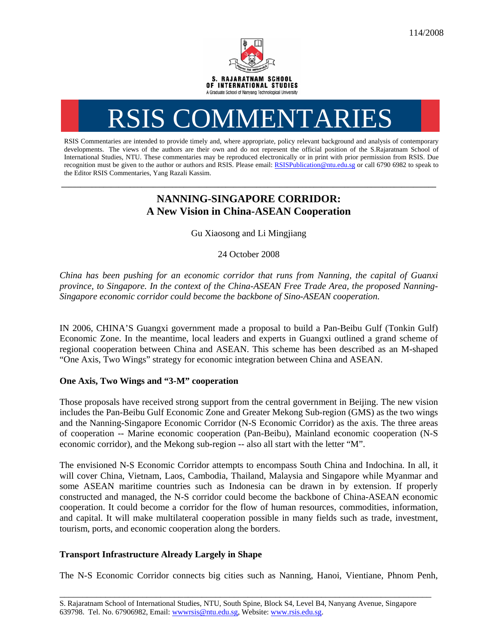

# RSIS COMMENTARIES

RSIS Commentaries are intended to provide timely and, where appropriate, policy relevant background and analysis of contemporary developments. The views of the authors are their own and do not represent the official position of the S.Rajaratnam School of International Studies, NTU. These commentaries may be reproduced electronically or in print with prior permission from RSIS. Due recognition must be given to the author or authors and RSIS. Please email: RSISPublication@ntu.edu.sg or call 6790 6982 to speak to the Editor RSIS Commentaries, Yang Razali Kassim.

## **NANNING-SINGAPORE CORRIDOR: A New Vision in China-ASEAN Cooperation**

**\_\_\_\_\_\_\_\_\_\_\_\_\_\_\_\_\_\_\_\_\_\_\_\_\_\_\_\_\_\_\_\_\_\_\_\_\_\_\_\_\_\_\_\_\_\_\_\_\_\_\_\_\_\_\_\_\_\_\_\_\_\_\_\_\_\_\_\_\_\_\_\_\_\_\_\_\_\_\_\_\_\_\_\_\_\_\_\_\_\_\_\_\_\_\_\_\_\_** 

Gu Xiaosong and Li Mingjiang

24 October 2008

*China has been pushing for an economic corridor that runs from Nanning, the capital of Guanxi province, to Singapore. In the context of the China-ASEAN Free Trade Area, the proposed Nanning-Singapore economic corridor could become the backbone of Sino-ASEAN cooperation.* 

IN 2006, CHINA'S Guangxi government made a proposal to build a Pan-Beibu Gulf (Tonkin Gulf) Economic Zone. In the meantime, local leaders and experts in Guangxi outlined a grand scheme of regional cooperation between China and ASEAN. This scheme has been described as an M-shaped "One Axis, Two Wings" strategy for economic integration between China and ASEAN.

### **One Axis, Two Wings and "3-M" cooperation**

Those proposals have received strong support from the central government in Beijing. The new vision includes the Pan-Beibu Gulf Economic Zone and Greater Mekong Sub-region (GMS) as the two wings and the Nanning-Singapore Economic Corridor (N-S Economic Corridor) as the axis. The three areas of cooperation -- Marine economic cooperation (Pan-Beibu), Mainland economic cooperation (N-S economic corridor), and the Mekong sub-region -- also all start with the letter "M".

The envisioned N-S Economic Corridor attempts to encompass South China and Indochina. In all, it will cover China, Vietnam, Laos, Cambodia, Thailand, Malaysia and Singapore while Myanmar and some ASEAN maritime countries such as Indonesia can be drawn in by extension. If properly constructed and managed, the N-S corridor could become the backbone of China-ASEAN economic cooperation. It could become a corridor for the flow of human resources, commodities, information, and capital. It will make multilateral cooperation possible in many fields such as trade, investment, tourism, ports, and economic cooperation along the borders.

## **Transport Infrastructure Already Largely in Shape**

The N-S Economic Corridor connects big cities such as Nanning, Hanoi, Vientiane, Phnom Penh,

\_\_\_\_\_\_\_\_\_\_\_\_\_\_\_\_\_\_\_\_\_\_\_\_\_\_\_\_\_\_\_\_\_\_\_\_\_\_\_\_\_\_\_\_\_\_\_\_\_\_\_\_\_\_\_\_\_\_\_\_\_\_\_\_\_\_\_\_\_\_\_\_\_\_\_\_\_\_\_\_\_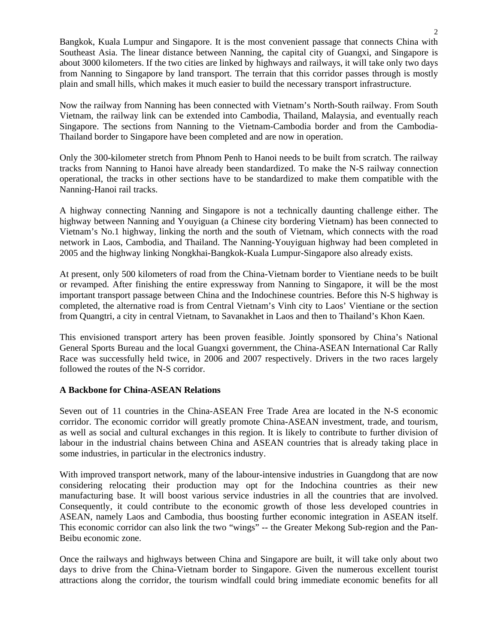Bangkok, Kuala Lumpur and Singapore. It is the most convenient passage that connects China with Southeast Asia. The linear distance between Nanning, the capital city of Guangxi, and Singapore is about 3000 kilometers. If the two cities are linked by highways and railways, it will take only two days from Nanning to Singapore by land transport. The terrain that this corridor passes through is mostly plain and small hills, which makes it much easier to build the necessary transport infrastructure.

Now the railway from Nanning has been connected with Vietnam's North-South railway. From South Vietnam, the railway link can be extended into Cambodia, Thailand, Malaysia, and eventually reach Singapore. The sections from Nanning to the Vietnam-Cambodia border and from the Cambodia-Thailand border to Singapore have been completed and are now in operation.

Only the 300-kilometer stretch from Phnom Penh to Hanoi needs to be built from scratch. The railway tracks from Nanning to Hanoi have already been standardized. To make the N-S railway connection operational, the tracks in other sections have to be standardized to make them compatible with the Nanning-Hanoi rail tracks.

A highway connecting Nanning and Singapore is not a technically daunting challenge either. The highway between Nanning and Youyiguan (a Chinese city bordering Vietnam) has been connected to Vietnam's No.1 highway, linking the north and the south of Vietnam, which connects with the road network in Laos, Cambodia, and Thailand. The Nanning-Youyiguan highway had been completed in 2005 and the highway linking Nongkhai-Bangkok-Kuala Lumpur-Singapore also already exists.

At present, only 500 kilometers of road from the China-Vietnam border to Vientiane needs to be built or revamped. After finishing the entire expressway from Nanning to Singapore, it will be the most important transport passage between China and the Indochinese countries. Before this N-S highway is completed, the alternative road is from Central Vietnam's Vinh city to Laos' Vientiane or the section from Quangtri, a city in central Vietnam, to Savanakhet in Laos and then to Thailand's Khon Kaen.

This envisioned transport artery has been proven feasible. Jointly sponsored by China's National General Sports Bureau and the local Guangxi government, the China-ASEAN International Car Rally Race was successfully held twice, in 2006 and 2007 respectively. Drivers in the two races largely followed the routes of the N-S corridor.

#### **A Backbone for China-ASEAN Relations**

Seven out of 11 countries in the China-ASEAN Free Trade Area are located in the N-S economic corridor. The economic corridor will greatly promote China-ASEAN investment, trade, and tourism, as well as social and cultural exchanges in this region. It is likely to contribute to further division of labour in the industrial chains between China and ASEAN countries that is already taking place in some industries, in particular in the electronics industry.

With improved transport network, many of the labour-intensive industries in Guangdong that are now considering relocating their production may opt for the Indochina countries as their new manufacturing base. It will boost various service industries in all the countries that are involved. Consequently, it could contribute to the economic growth of those less developed countries in ASEAN, namely Laos and Cambodia, thus boosting further economic integration in ASEAN itself. This economic corridor can also link the two "wings" -- the Greater Mekong Sub-region and the Pan-Beibu economic zone.

Once the railways and highways between China and Singapore are built, it will take only about two days to drive from the China-Vietnam border to Singapore. Given the numerous excellent tourist attractions along the corridor, the tourism windfall could bring immediate economic benefits for all